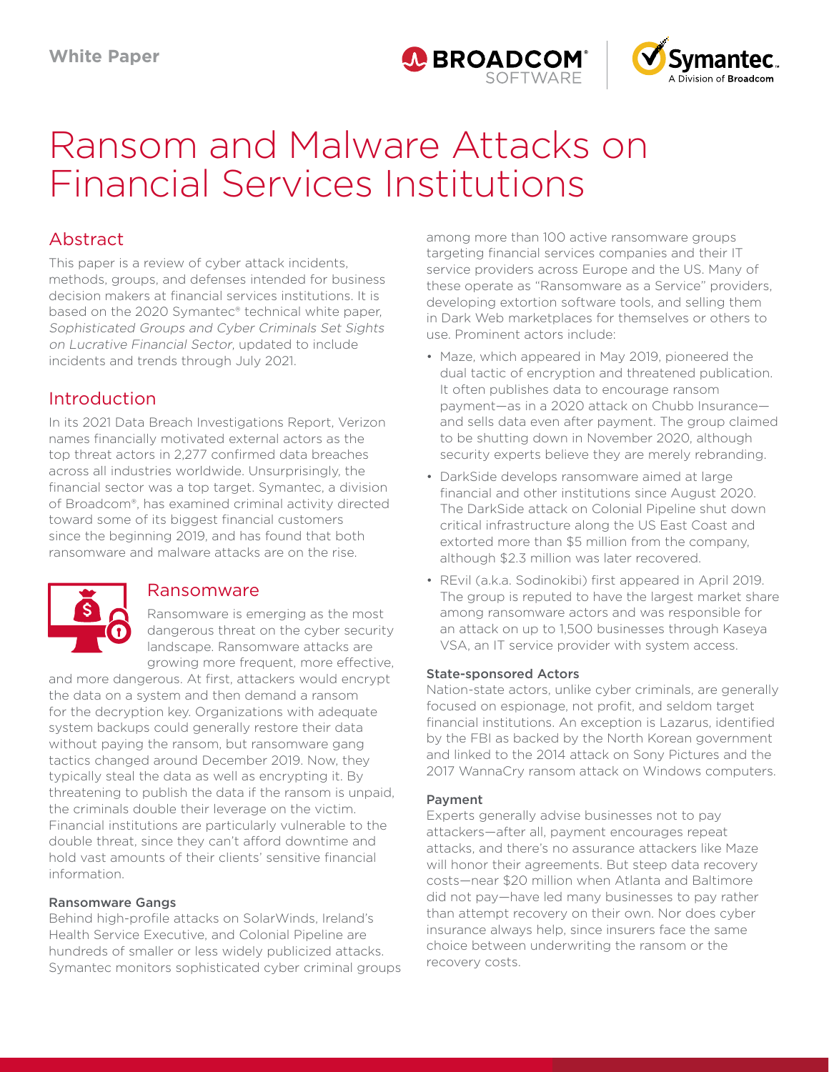



# Ransom and Malware Attacks on Financial Services Institutions

# Abstract

This paper is a review of cyber attack incidents, methods, groups, and defenses intended for business decision makers at financial services institutions. It is based on the 2020 Symantec® technical white paper, Sophisticated Groups and Cyber Criminals Set Sights on Lucrative Financial Sector, updated to include incidents and trends through July 2021.

# Introduction

In its 2021 Data Breach Investigations Report, Verizon names financially motivated external actors as the top threat actors in 2,277 confirmed data breaches across all industries worldwide. Unsurprisingly, the financial sector was a top target. Symantec, a division of Broadcom®, has examined criminal activity directed toward some of its biggest financial customers since the beginning 2019, and has found that both ransomware and malware attacks are on the rise.



## Ransomware

Ransomware is emerging as the most dangerous threat on the cyber security landscape. Ransomware attacks are growing more frequent, more effective,

and more dangerous. At first, attackers would encrypt the data on a system and then demand a ransom for the decryption key. Organizations with adequate system backups could generally restore their data without paying the ransom, but ransomware gang tactics changed around December 2019. Now, they typically steal the data as well as encrypting it. By threatening to publish the data if the ransom is unpaid, the criminals double their leverage on the victim. Financial institutions are particularly vulnerable to the double threat, since they can't afford downtime and hold vast amounts of their clients' sensitive financial information.

## Ransomware Gangs

Behind high-profile attacks on SolarWinds, Ireland's Health Service Executive, and Colonial Pipeline are hundreds of smaller or less widely publicized attacks. Symantec monitors sophisticated cyber criminal groups among more than 100 active ransomware groups targeting financial services companies and their IT service providers across Europe and the US. Many of these operate as "Ransomware as a Service" providers, developing extortion software tools, and selling them in Dark Web marketplaces for themselves or others to use. Prominent actors include:

- Maze, which appeared in May 2019, pioneered the dual tactic of encryption and threatened publication. It often publishes data to encourage ransom payment—as in a 2020 attack on Chubb Insurance and sells data even after payment. The group claimed to be shutting down in November 2020, although security experts believe they are merely rebranding.
- DarkSide develops ransomware aimed at large financial and other institutions since August 2020. The DarkSide attack on Colonial Pipeline shut down critical infrastructure along the US East Coast and extorted more than \$5 million from the company, although \$2.3 million was later recovered.
- REvil (a.k.a. Sodinokibi) first appeared in April 2019. The group is reputed to have the largest market share among ransomware actors and was responsible for an attack on up to 1,500 businesses through Kaseya VSA, an IT service provider with system access.

## State-sponsored Actors

Nation-state actors, unlike cyber criminals, are generally focused on espionage, not profit, and seldom target financial institutions. An exception is Lazarus, identified by the FBI as backed by the North Korean government and linked to the 2014 attack on Sony Pictures and the 2017 WannaCry ransom attack on Windows computers.

## Payment

Experts generally advise businesses not to pay attackers—after all, payment encourages repeat attacks, and there's no assurance attackers like Maze will honor their agreements. But steep data recovery costs—near \$20 million when Atlanta and Baltimore did not pay—have led many businesses to pay rather than attempt recovery on their own. Nor does cyber insurance always help, since insurers face the same choice between underwriting the ransom or the recovery costs.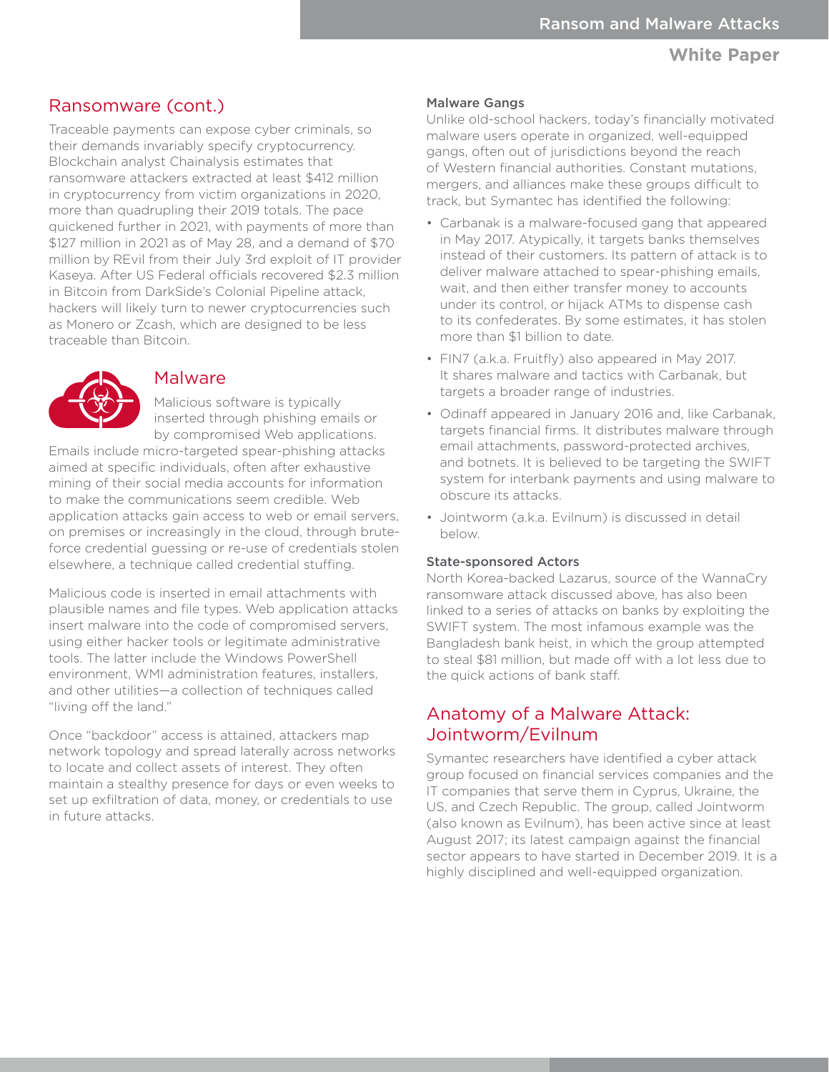## **White Paper**

## Ransomware (cont.)

Traceable payments can expose cyber criminals, so their demands invariably specify cryptocurrency. Blockchain analyst Chainalysis estimates that ransomware attackers extracted at least \$412 million in cryptocurrency from victim organizations in 2020, more than quadrupling their 2019 totals. The pace quickened further in 2021, with payments of more than \$127 million in 2021 as of May 28, and a demand of \$70 million by REvil from their July 3rd exploit of IT provider Kaseya. After US Federal officials recovered \$2.3 million in Bitcoin from DarkSide's Colonial Pipeline attack, hackers will likely turn to newer cryptocurrencies such as Monero or Zcash, which are designed to be less traceable than Bitcoin.



## Malware

Malicious software is typically inserted through phishing emails or by compromised Web applications.

Emails include micro-targeted spear-phishing attacks aimed at specific individuals, often after exhaustive mining of their social media accounts for information to make the communications seem credible. Web application attacks gain access to web or email servers, on premises or increasingly in the cloud, through bruteforce credential guessing or re-use of credentials stolen elsewhere, a technique called credential stuffing.

Malicious code is inserted in email attachments with plausible names and file types. Web application attacks insert malware into the code of compromised servers, using either hacker tools or legitimate administrative tools. The latter include the Windows PowerShell environment, WMI administration features, installers, and other utilities—a collection of techniques called "living off the land."

Once "backdoor" access is attained, attackers map network topology and spread laterally across networks to locate and collect assets of interest. They often maintain a stealthy presence for days or even weeks to set up exfiltration of data, money, or credentials to use in future attacks.

#### Malware Gangs

Unlike old-school hackers, today's financially motivated malware users operate in organized, well-equipped gangs, often out of jurisdictions beyond the reach of Western financial authorities. Constant mutations, mergers, and alliances make these groups difficult to track, but Symantec has identified the following:

- Carbanak is a malware-focused gang that appeared in May 2017. Atypically, it targets banks themselves instead of their customers. Its pattern of attack is to deliver malware attached to spear-phishing emails, wait, and then either transfer money to accounts under its control, or hijack ATMs to dispense cash to its confederates. By some estimates, it has stolen more than \$1 billion to date.
- FIN7 (a.k.a. Fruitfly) also appeared in May 2017. It shares malware and tactics with Carbanak, but targets a broader range of industries.
- Odinaff appeared in January 2016 and, like Carbanak, targets financial firms. It distributes malware through email attachments, password-protected archives, and botnets. It is believed to be targeting the SWIFT system for interbank payments and using malware to obscure its attacks.
- Jointworm (a.k.a. Evilnum) is discussed in detail below.

#### State-sponsored Actors

North Korea-backed Lazarus, source of the WannaCry ransomware attack discussed above, has also been linked to a series of attacks on banks by exploiting the SWIFT system. The most infamous example was the Bangladesh bank heist, in which the group attempted to steal \$81 million, but made off with a lot less due to the quick actions of bank staff.

## Anatomy of a Malware Attack: Jointworm/Evilnum

Symantec researchers have identified a cyber attack group focused on financial services companies and the IT companies that serve them in Cyprus, Ukraine, the US, and Czech Republic. The group, called Jointworm (also known as Evilnum), has been active since at least August 2017; its latest campaign against the financial sector appears to have started in December 2019. It is a highly disciplined and well-equipped organization.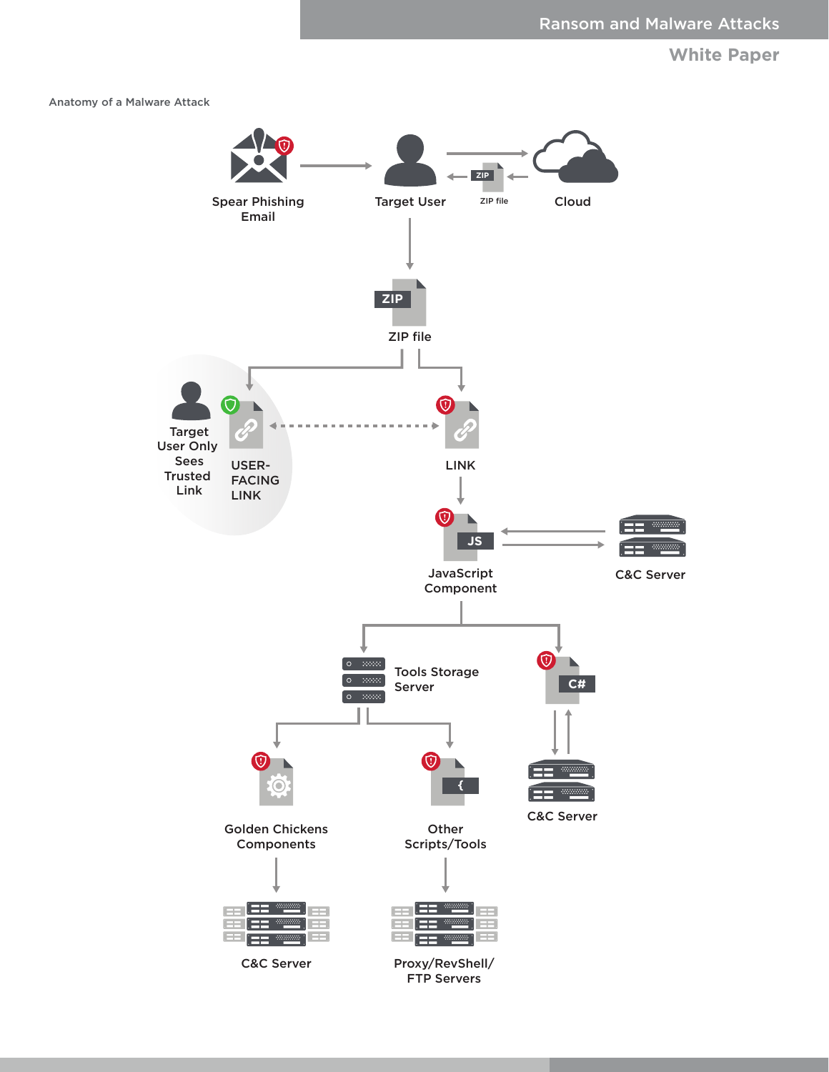**White Paper**

Anatomy of a Malware Attack

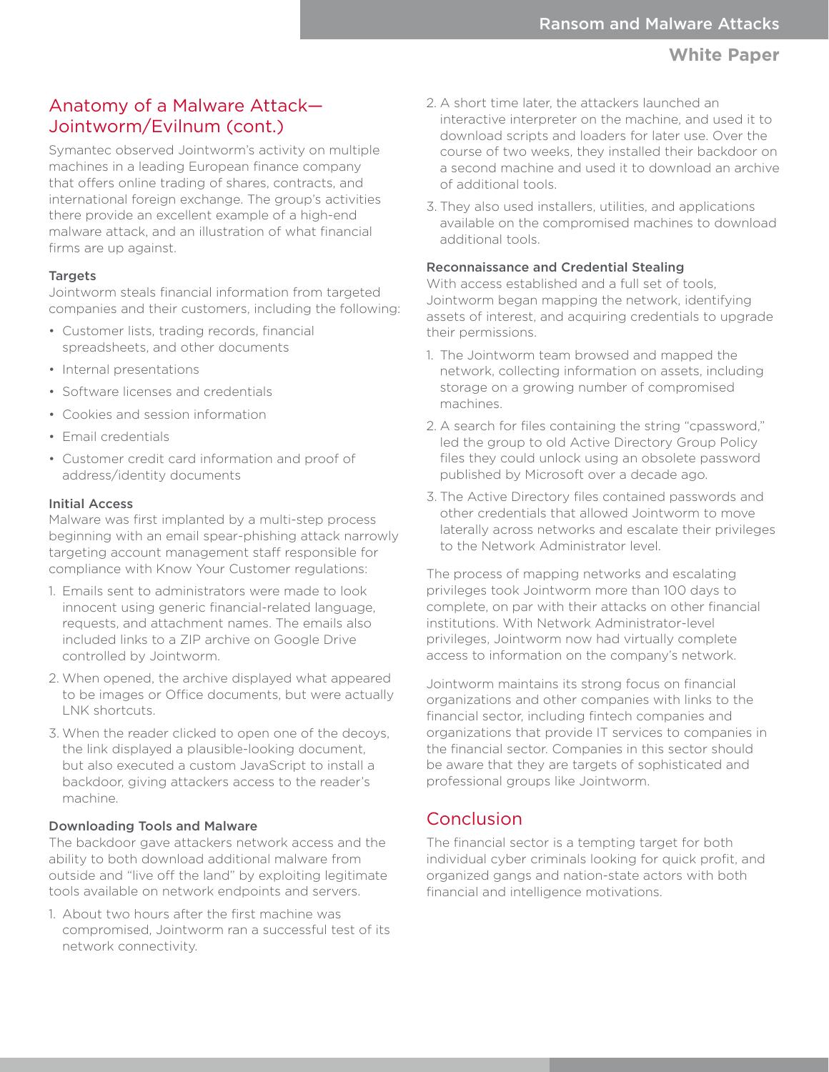# Anatomy of a Malware Attack— Jointworm/Evilnum (cont.)

Symantec observed Jointworm's activity on multiple machines in a leading European finance company that offers online trading of shares, contracts, and international foreign exchange. The group's activities there provide an excellent example of a high-end malware attack, and an illustration of what financial firms are up against.

### Targets

Jointworm steals financial information from targeted companies and their customers, including the following:

- Customer lists, trading records, financial spreadsheets, and other documents
- Internal presentations
- Software licenses and credentials
- Cookies and session information
- Email credentials
- Customer credit card information and proof of address/identity documents

#### Initial Access

Malware was first implanted by a multi-step process beginning with an email spear-phishing attack narrowly targeting account management staff responsible for compliance with Know Your Customer regulations:

- 1. Emails sent to administrators were made to look innocent using generic financial-related language, requests, and attachment names. The emails also included links to a ZIP archive on Google Drive controlled by Jointworm.
- 2. When opened, the archive displayed what appeared to be images or Office documents, but were actually LNK shortcuts.
- 3. When the reader clicked to open one of the decoys, the link displayed a plausible-looking document, but also executed a custom JavaScript to install a backdoor, giving attackers access to the reader's machine.

### Downloading Tools and Malware

The backdoor gave attackers network access and the ability to both download additional malware from outside and "live off the land" by exploiting legitimate tools available on network endpoints and servers.

1. About two hours after the first machine was compromised, Jointworm ran a successful test of its network connectivity.

- 2. A short time later, the attackers launched an interactive interpreter on the machine, and used it to download scripts and loaders for later use. Over the course of two weeks, they installed their backdoor on a second machine and used it to download an archive of additional tools.
- 3. They also used installers, utilities, and applications available on the compromised machines to download additional tools.

### Reconnaissance and Credential Stealing

With access established and a full set of tools, Jointworm began mapping the network, identifying assets of interest, and acquiring credentials to upgrade their permissions.

- 1. The Jointworm team browsed and mapped the network, collecting information on assets, including storage on a growing number of compromised machines.
- 2. A search for files containing the string "cpassword," led the group to old Active Directory Group Policy files they could unlock using an obsolete password published by Microsoft over a decade ago.
- 3. The Active Directory files contained passwords and other credentials that allowed Jointworm to move laterally across networks and escalate their privileges to the Network Administrator level.

The process of mapping networks and escalating privileges took Jointworm more than 100 days to complete, on par with their attacks on other financial institutions. With Network Administrator-level privileges, Jointworm now had virtually complete access to information on the company's network.

Jointworm maintains its strong focus on financial organizations and other companies with links to the financial sector, including fintech companies and organizations that provide IT services to companies in the financial sector. Companies in this sector should be aware that they are targets of sophisticated and professional groups like Jointworm.

# Conclusion

The financial sector is a tempting target for both individual cyber criminals looking for quick profit, and organized gangs and nation-state actors with both financial and intelligence motivations.